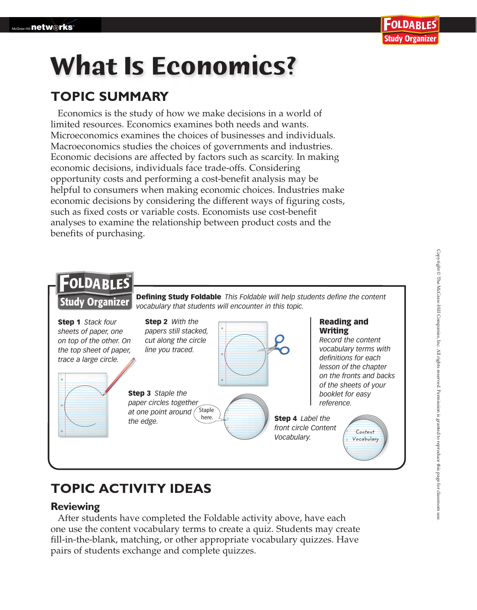# **What Is Economics?**

### **TOPIC SUMMARY**

Economics is the study of how we make decisions in a world of limited resources. Economics examines both needs and wants. Microeconomics examines the choices of businesses and individuals. Macroeconomics studies the choices of governments and industries. Economic decisions are affected by factors such as scarcity. In making economic decisions, individuals face trade-offs. Considering opportunity costs and performing a cost-benefit analysis may be helpful to consumers when making economic choices. Industries make economic decisions by considering the different ways of figuring costs, such as fixed costs or variable costs. Economists use cost-benefit analyses to examine the relationship between product costs and the benefits of purchasing.



## **TOPIC ACTIVITY IDEAS**

#### **Reviewing**

After students have completed the Foldable activity above, have each one use the content vocabulary terms to create a quiz. Students may create fill-in-the-blank, matching, or other appropriate vocabulary quizzes. Have pairs of students exchange and complete quizzes.